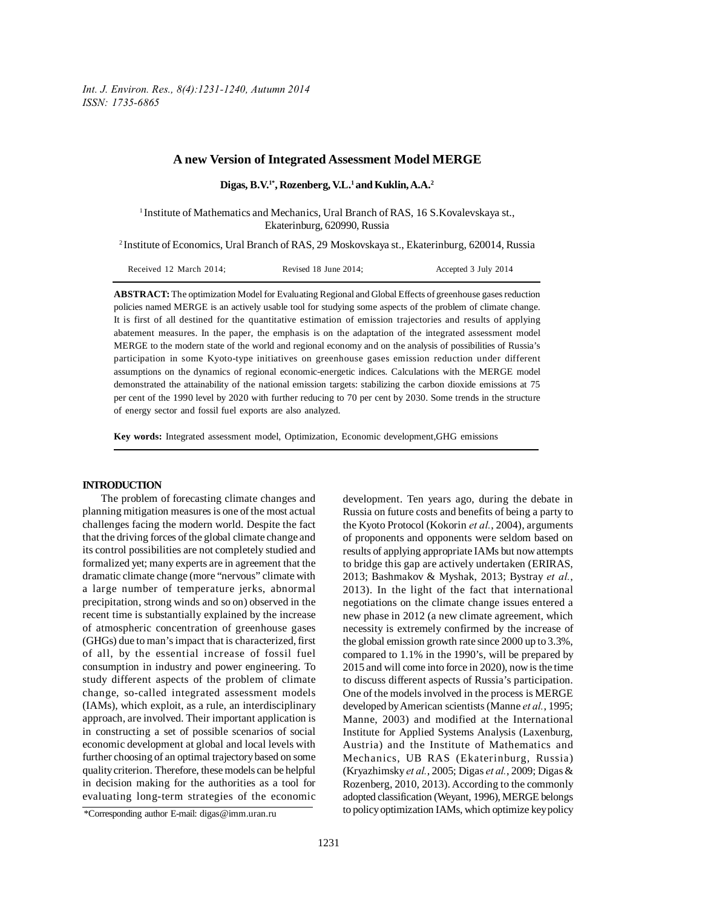*Int. J. Environ. Res., 8(4):1231-1240, Autumn 2014 ISSN: 1735-6865*

#### **A new Version of Integrated Assessment Model MERGE**

**Digas, B.V.1\*, Rozenberg, V.L.1 and Kuklin, A.A.2**

1 Institute of Mathematics and Mechanics, Ural Branch of RAS, 16 S.Kovalevskaya st., Ekaterinburg, 620990, Russia

2 Institute of Economics, Ural Branch of RAS, 29 Moskovskaya st., Ekaterinburg, 620014, Russia

| Received 12 March 2014: | Revised 18 June 2014: | Accepted 3 July 2014 |
|-------------------------|-----------------------|----------------------|
|-------------------------|-----------------------|----------------------|

**ABSTRACT:** The optimization Model for Evaluating Regional and Global Effects of greenhouse gases reduction policies named MERGE is an actively usable tool for studying some aspects of the problem of climate change. It is first of all destined for the quantitative estimation of emission trajectories and results of applying abatement measures. In the paper, the emphasis is on the adaptation of the integrated assessment model MERGE to the modern state of the world and regional economy and on the analysis of possibilities of Russia's participation in some Kyoto-type initiatives on greenhouse gases emission reduction under different assumptions on the dynamics of regional economic-energetic indices. Calculations with the MERGE model demonstrated the attainability of the national emission targets: stabilizing the carbon dioxide emissions at 75 per cent of the 1990 level by 2020 with further reducing to 70 per cent by 2030. Some trends in the structure of energy sector and fossil fuel exports are also analyzed.

**Key words:** Integrated assessment model, Optimization, Economic development,GHG emissions

# **INTRODUCTION**

The problem of forecasting climate changes and planning mitigation measures is one of the most actual challenges facing the modern world. Despite the fact that the driving forces of the global climate change and its control possibilities are not completely studied and formalized yet; many experts are in agreement that the dramatic climate change (more "nervous" climate with a large number of temperature jerks, abnormal precipitation, strong winds and so on) observed in the recent time is substantially explained by the increase of atmospheric concentration of greenhouse gases (GHGs) due to man's impact that is characterized, first of all, by the essential increase of fossil fuel consumption in industry and power engineering. To study different aspects of the problem of climate change, so-called integrated assessment models (IAMs), which exploit, as a rule, an interdisciplinary approach, are involved. Their important application is in constructing a set of possible scenarios of social economic development at global and local levels with further choosing of an optimal trajectory based on some quality criterion. Therefore, these models can be helpful in decision making for the authorities as a tool for evaluating long-term strategies of the economic development. Ten years ago, during the debate in Russia on future costs and benefits of being a party to the Kyoto Protocol (Kokorin *et al.*, 2004), arguments of proponents and opponents were seldom based on results of applying appropriate IAMs but now attempts to bridge this gap are actively undertaken (ERIRAS, 2013; Bashmakov & Myshak, 2013; Bystray *et al.*, 2013). In the light of the fact that international negotiations on the climate change issues entered a new phase in 2012 (a new climate agreement, which necessity is extremely confirmed by the increase of the global emission growth rate since 2000 up to 3.3%, compared to 1.1% in the 1990's, will be prepared by 2015 and will come into force in 2020), now is the time to discuss different aspects of Russia's participation. One of the models involved in the process is MERGE developed by American scientists (Manne *et al.*, 1995; Manne, 2003) and modified at the International Institute for Applied Systems Analysis (Laxenburg, Austria) and the Institute of Mathematics and Mechanics, UB RAS (Ekaterinburg, Russia) (Kryazhimsky *et al.*, 2005; Digas *et al.*, 2009; Digas & Rozenberg, 2010, 2013). According to the commonly adopted classification (Weyant, 1996), MERGE belongs to policy optimization IAMs, which optimize key policy

<sup>\*</sup>Corresponding author E-mail: digas@imm.uran.ru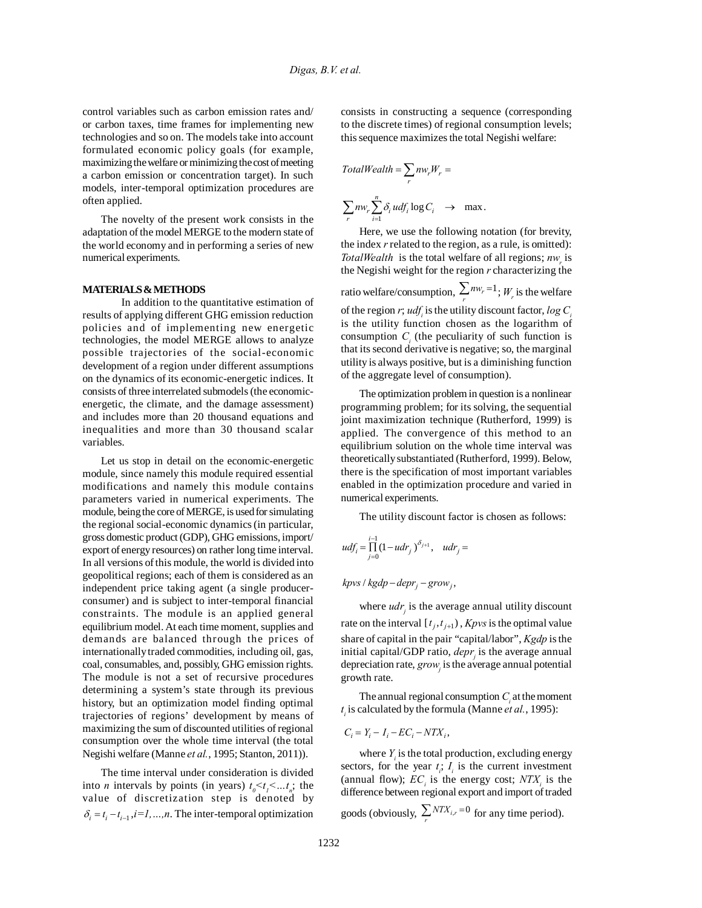control variables such as carbon emission rates and/ or carbon taxes, time frames for implementing new technologies and so on. The models take into account formulated economic policy goals (for example, maximizing the welfare or minimizing the cost of meeting a carbon emission or concentration target). In such models, inter-temporal optimization procedures are often applied.

The novelty of the present work consists in the adaptation of the model MERGE to the modern state of the world economy and in performing a series of new numerical experiments.

### **MATERIALS & METHODS**

In addition to the quantitative estimation of results of applying different GHG emission reduction policies and of implementing new energetic technologies, the model MERGE allows to analyze possible trajectories of the social-economic development of a region under different assumptions on the dynamics of its economic-energetic indices. It consists of three interrelated submodels (the economicenergetic, the climate, and the damage assessment) and includes more than 20 thousand equations and inequalities and more than 30 thousand scalar variables.

Let us stop in detail on the economic-energetic module, since namely this module required essential modifications and namely this module contains parameters varied in numerical experiments. The module, being the core of MERGE, is used for simulating the regional social-economic dynamics (in particular, gross domestic product (GDP), GHG emissions, import/ export of energy resources) on rather long time interval. In all versions of this module, the world is divided into geopolitical regions; each of them is considered as an independent price taking agent (a single producerconsumer) and is subject to inter-temporal financial constraints. The module is an applied general equilibrium model. At each time moment, supplies and demands are balanced through the prices of internationally traded commodities, including oil, gas, coal, consumables, and, possibly, GHG emission rights. The module is not a set of recursive procedures determining a system's state through its previous history, but an optimization model finding optimal trajectories of regions' development by means of maximizing the sum of discounted utilities of regional consumption over the whole time interval (the total Negishi welfare (Manne *et al.*, 1995; Stanton, 2011)).

The time interval under consideration is divided into *n* intervals by points (in years)  $t_0 < t_1 < ... t_n$ ; the value of discretization step is denoted by  $\delta_i = t_i - t_{i-1}$ ,  $i = 1, ..., n$ . The inter-temporal optimization consists in constructing a sequence (corresponding to the discrete times) of regional consumption levels; this sequence maximizes the total Negishi welfare:

$$
TotalWeak = \sum_{r} nw_r W_r =
$$
  

$$
\sum_{r} nw_r \sum_{i=1}^{n} \delta_i u df_i \log C_i \rightarrow \max.
$$

Here, we use the following notation (for brevity, the index *r* related to the region, as a rule, is omitted): *TotalWealth* is the total welfare of all regions;  $nw_r$  is the Negishi weight for the region *r* characterizing the ratio welfare/consumption,  $\sum_r n w_r = 1$ ;  $W_r$  is the welfare

of the region *r*;  $udf_i$  is the utility discount factor,  $log C_i$ is the utility function chosen as the logarithm of consumption  $C_i$  (the peculiarity of such function is that its second derivative is negative; so, the marginal utility is always positive, but is a diminishing function of the aggregate level of consumption).

The optimization problem in question is a nonlinear programming problem; for its solving, the sequential joint maximization technique (Rutherford, 1999) is applied. The convergence of this method to an equilibrium solution on the whole time interval was theoretically substantiated (Rutherford, 1999). Below, there is the specification of most important variables enabled in the optimization procedure and varied in numerical experiments.

The utility discount factor is chosen as follows:

$$
udf_i = \prod_{j=0}^{i-1} (1 - u dr_j)^{\delta_{j+1}}, \quad u dr_j =
$$

 $k$ *pvs* /  $kgdp$  –  $depr_j$  –  $grow_j$ ,

where  $udr_i$  is the average annual utility discount rate on the interval  $[t_j, t_{j+1})$ , *Kpvs* is the optimal value share of capital in the pair "capital/labor", *Kgdp* is the initial capital/GDP ratio, *depr<sub>j</sub>* is the average annual depreciation rate, *grow* is the average annual potential growth rate.

The annual regional consumption  $C<sub>i</sub>$  at the moment *t i* is calculated by the formula (Manne *et al.*, 1995):

$$
C_i = Y_i - I_i - EC_i - NTX_i,
$$

where *Y* is the total production, excluding energy sectors, for the year  $t_i$ ;  $I_i$  is the current investment (annual flow);  $EC_i$  is the energy cost;  $NTX_i$  is the difference between regional export and import of traded goods (obviously,  $\sum_r NTX_{i,r} = 0$  for any time period).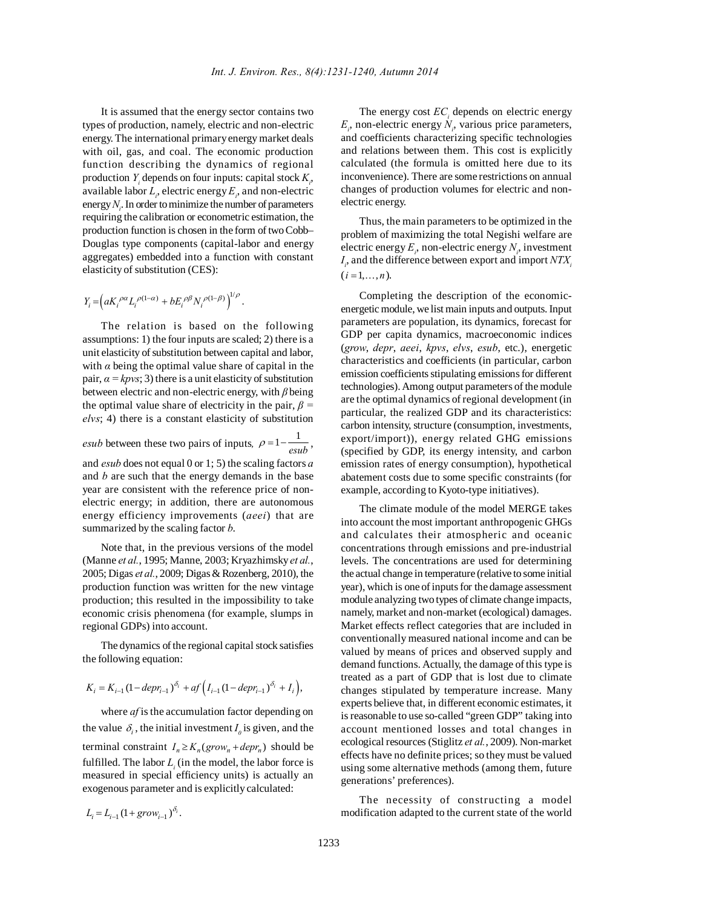It is assumed that the energy sector contains two types of production, namely, electric and non-electric energy. The international primary energy market deals with oil, gas, and coal. The economic production function describing the dynamics of regional production  $Y_i$  depends on four inputs: capital stock  $K_i$ , available labor  $L_i$ , electric energy  $E_i$ , and non-electric energy  $N_i$ . In order to minimize the number of parameters requiring the calibration or econometric estimation, the production function is chosen in the form of two Cobb– Douglas type components (capital-labor and energy aggregates) embedded into a function with constant elasticity of substitution (CES):

$$
Y_i\!=\!\left(a K_i^{\ \rho\alpha}L_i^{\ \rho(1-\alpha)}+b E_i^{\ \rho\beta}N_i^{\ \rho(1-\beta)}\right)^{\!\!1/\rho}.
$$

The relation is based on the following assumptions: 1) the four inputs are scaled; 2) there is a unit elasticity of substitution between capital and labor, with  $\alpha$  being the optimal value share of capital in the pair,  $\alpha = k \text{pvs}$ ; 3) there is a unit elasticity of substitution between electric and non-electric energy, with *β* being the optimal value share of electricity in the pair, *β = elvs*; 4) there is a constant elasticity of substitution

*esub* between these two pairs of inputs,  $\rho = 1 - \frac{1}{\text{exub}}$ ,

and *esub* does not equal 0 or 1; 5) the scaling factors *a* and *b* are such that the energy demands in the base year are consistent with the reference price of nonelectric energy; in addition, there are autonomous energy efficiency improvements (*aeei*) that are summarized by the scaling factor *b*.

Note that, in the previous versions of the model (Manne *et al.*, 1995; Manne, 2003; Kryazhimsky *et al.*, 2005; Digas *et al.*, 2009; Digas & Rozenberg, 2010), the production function was written for the new vintage production; this resulted in the impossibility to take economic crisis phenomena (for example, slumps in regional GDPs) into account.

The dynamics of the regional capital stock satisfies the following equation:

$$
K_i = K_{i-1} (1 - depr_{i-1})^{\delta_i} + af \left(I_{i-1} (1 - depr_{i-1})^{\delta_i} + I_i\right),
$$

where *af* is the accumulation factor depending on the value  $\delta_i$ , the initial investment  $I_0$  is given, and the terminal constraint  $I_n \ge K_n(grow_n + depr_n)$  should be fulfilled. The labor  $L<sub>i</sub>$  (in the model, the labor force is measured in special efficiency units) is actually an exogenous parameter and is explicitly calculated:

 $L_i = L_{i-1} (1 + grow_{i-1})^{\delta_i}.$ 

The energy cost  $EC<sub>i</sub>$  depends on electric energy  $E_i$ , non-electric energy  $N_i$ , various price parameters, and coefficients characterizing specific technologies and relations between them. This cost is explicitly calculated (the formula is omitted here due to its inconvenience). There are some restrictions on annual changes of production volumes for electric and nonelectric energy.

Thus, the main parameters to be optimized in the problem of maximizing the total Negishi welfare are electric energy  $E_i$ , non-electric energy  $N_i$ , investment *I<sub>i</sub>*, and the difference between export and import  $NTX_i$  $(i = 1, \ldots, n)$ .

Completing the description of the economicenergetic module, we list main inputs and outputs. Input parameters are population, its dynamics, forecast for GDP per capita dynamics, macroeconomic indices (*grow*, *depr*, *aeei*, *kpvs*, *elvs*, *esub*, etc.), energetic characteristics and coefficients (in particular, carbon emission coefficients stipulating emissions for different technologies). Among output parameters of the module are the optimal dynamics of regional development (in particular, the realized GDP and its characteristics: carbon intensity, structure (consumption, investments, export/import)), energy related GHG emissions (specified by GDP, its energy intensity, and carbon emission rates of energy consumption), hypothetical abatement costs due to some specific constraints (for example, according to Kyoto-type initiatives).

The climate module of the model MERGE takes into account the most important anthropogenic GHGs and calculates their atmospheric and oceanic concentrations through emissions and pre-industrial levels. The concentrations are used for determining the actual change in temperature (relative to some initial year), which is one of inputs for the damage assessment module analyzing two types of climate change impacts, namely, market and non-market (ecological) damages. Market effects reflect categories that are included in conventionally measured national income and can be valued by means of prices and observed supply and demand functions. Actually, the damage of this type is treated as a part of GDP that is lost due to climate changes stipulated by temperature increase. Many experts believe that, in different economic estimates, it is reasonable to use so-called "green GDP" taking into account mentioned losses and total changes in ecological resources (Stiglitz *et al.*, 2009). Non-market effects have no definite prices; so they must be valued using some alternative methods (among them, future generations' preferences).

The necessity of constructing a model modification adapted to the current state of the world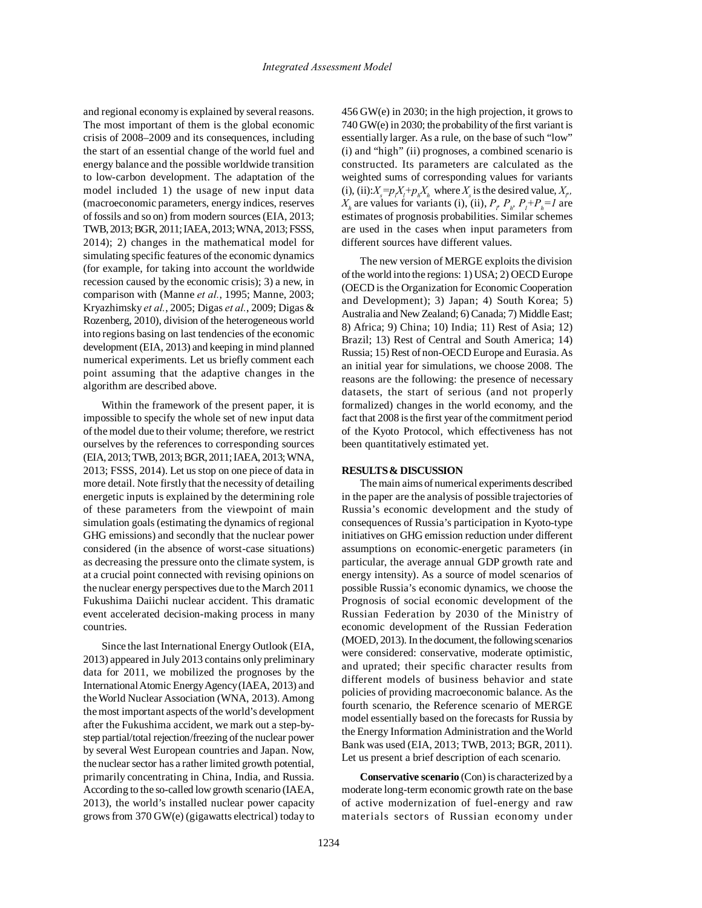and regional economy is explained by several reasons. The most important of them is the global economic crisis of 2008–2009 and its consequences, including the start of an essential change of the world fuel and energy balance and the possible worldwide transition to low-carbon development. The adaptation of the model included 1) the usage of new input data (macroeconomic parameters, energy indices, reserves of fossils and so on) from modern sources (EIA, 2013; TWB, 2013; BGR, 2011; IAEA, 2013; WNA, 2013; FSSS, 2014); 2) changes in the mathematical model for simulating specific features of the economic dynamics (for example, for taking into account the worldwide recession caused by the economic crisis); 3) a new, in comparison with (Manne *et al.*, 1995; Manne, 2003; Kryazhimsky *et al.*, 2005; Digas *et al.*, 2009; Digas & Rozenberg, 2010), division of the heterogeneous world into regions basing on last tendencies of the economic development (EIA, 2013) and keeping in mind planned numerical experiments. Let us briefly comment each point assuming that the adaptive changes in the algorithm are described above.

Within the framework of the present paper, it is impossible to specify the whole set of new input data of the model due to their volume; therefore, we restrict ourselves by the references to corresponding sources (EIA, 2013; TWB, 2013; BGR, 2011; IAEA, 2013; WNA, 2013; FSSS, 2014). Let us stop on one piece of data in more detail. Note firstly that the necessity of detailing energetic inputs is explained by the determining role of these parameters from the viewpoint of main simulation goals (estimating the dynamics of regional GHG emissions) and secondly that the nuclear power considered (in the absence of worst-case situations) as decreasing the pressure onto the climate system, is at a crucial point connected with revising opinions on the nuclear energy perspectives due to the March 2011 Fukushima Daiichi nuclear accident. This dramatic event accelerated decision-making process in many countries.

Since the last International Energy Outlook (EIA, 2013) appeared in July 2013 contains only preliminary data for 2011, we mobilized the prognoses by the International Atomic Energy Agency (IAEA, 2013) and the World Nuclear Association (WNA, 2013). Among the most important aspects of the world's development after the Fukushima accident, we mark out a step-bystep partial/total rejection/freezing of the nuclear power by several West European countries and Japan. Now, the nuclear sector has a rather limited growth potential, primarily concentrating in China, India, and Russia. According to the so-called low growth scenario (IAEA, 2013), the world's installed nuclear power capacity grows from 370 GW(e) (gigawatts electrical) today to 456 GW(e) in 2030; in the high projection, it grows to 740 GW(e) in 2030; the probability of the first variant is essentially larger. As a rule, on the base of such "low" (i) and "high" (ii) prognoses, a combined scenario is constructed. Its parameters are calculated as the weighted sums of corresponding values for variants (i), (ii): $X_s = p_i X_l + p_h X_h$  where  $X_s$  is the desired value,  $X_p$ ,  $X_h$  are values for variants (i), (ii),  $P_p$ ,  $P_h$ ,  $P_l$ + $P_h$ =1 are estimates of prognosis probabilities. Similar schemes are used in the cases when input parameters from different sources have different values.

The new version of MERGE exploits the division of the world into the regions: 1) USA; 2) OECD Europe (OECD is the Organization for Economic Cooperation and Development); 3) Japan; 4) South Korea; 5) Australia and New Zealand; 6) Canada; 7) Middle East; 8) Africa; 9) China; 10) India; 11) Rest of Asia; 12) Brazil; 13) Rest of Central and South America; 14) Russia; 15) Rest of non-OECD Europe and Eurasia. As an initial year for simulations, we choose 2008. The reasons are the following: the presence of necessary datasets, the start of serious (and not properly formalized) changes in the world economy, and the fact that 2008 is the first year of the commitment period of the Kyoto Protocol, which effectiveness has not been quantitatively estimated yet.

## **RESULTS & DISCUSSION**

The main aims of numerical experiments described in the paper are the analysis of possible trajectories of Russia's economic development and the study of consequences of Russia's participation in Kyoto-type initiatives on GHG emission reduction under different assumptions on economic-energetic parameters (in particular, the average annual GDP growth rate and energy intensity). As a source of model scenarios of possible Russia's economic dynamics, we choose the Prognosis of social economic development of the Russian Federation by 2030 of the Ministry of economic development of the Russian Federation (MOED, 2013). In the document, the following scenarios were considered: conservative, moderate optimistic, and uprated; their specific character results from different models of business behavior and state policies of providing macroeconomic balance. As the fourth scenario, the Reference scenario of MERGE model essentially based on the forecasts for Russia by the Energy Information Administration and the World Bank was used (EIA, 2013; TWB, 2013; BGR, 2011). Let us present a brief description of each scenario.

**Conservative scenario** (Con) is characterized by a moderate long-term economic growth rate on the base of active modernization of fuel-energy and raw materials sectors of Russian economy under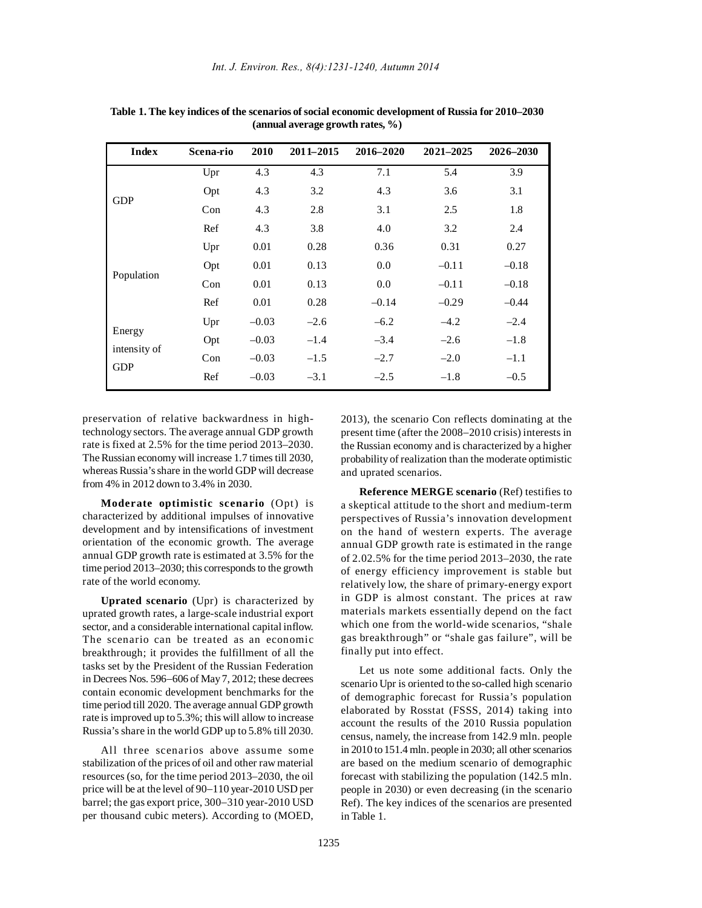| <b>Index</b>                         | Scena-rio | 2010    | 2011-2015 | 2016-2020 | 2021-2025 | 2026-2030 |
|--------------------------------------|-----------|---------|-----------|-----------|-----------|-----------|
| <b>GDP</b>                           | Upr       | 4.3     | 4.3       | 7.1       | 5.4       | 3.9       |
|                                      | Opt       | 4.3     | 3.2       | 4.3       | 3.6       | 3.1       |
|                                      | Con       | 4.3     | 2.8       | 3.1       | 2.5       | 1.8       |
|                                      | Ref       | 4.3     | 3.8       | 4.0       | 3.2       | 2.4       |
| Population                           | Upr       | 0.01    | 0.28      | 0.36      | 0.31      | 0.27      |
|                                      | Opt       | 0.01    | 0.13      | 0.0       | $-0.11$   | $-0.18$   |
|                                      | Con       | 0.01    | 0.13      | 0.0       | $-0.11$   | $-0.18$   |
|                                      | Ref       | 0.01    | 0.28      | $-0.14$   | $-0.29$   | $-0.44$   |
| Energy<br>intensity of<br><b>GDP</b> | Upr       | $-0.03$ | $-2.6$    | $-6.2$    | $-4.2$    | $-2.4$    |
|                                      | Opt       | $-0.03$ | $-1.4$    | $-3.4$    | $-2.6$    | $-1.8$    |
|                                      | Con       | $-0.03$ | $-1.5$    | $-2.7$    | $-2.0$    | $-1.1$    |
|                                      | Ref       | $-0.03$ | $-3.1$    | $-2.5$    | $-1.8$    | $-0.5$    |

**Table 1. The key indices of the scenarios of social economic development of Russia for 2010–2030 (annual average growth rates, %)**

preservation of relative backwardness in hightechnology sectors. The average annual GDP growth rate is fixed at 2.5% for the time period 2013–2030. The Russian economy will increase 1.7 times till 2030, whereas Russia's share in the world GDP will decrease from 4% in 2012 down to 3.4% in 2030.

**Moderate optimistic scenario** (Opt) is characterized by additional impulses of innovative development and by intensifications of investment orientation of the economic growth. The average annual GDP growth rate is estimated at 3.5% for the time period 2013–2030; this corresponds to the growth rate of the world economy.

**Uprated scenario** (Upr) is characterized by uprated growth rates, a large-scale industrial export sector, and a considerable international capital inflow. The scenario can be treated as an economic breakthrough; it provides the fulfillment of all the tasks set by the President of the Russian Federation in Decrees Nos. 596−606 of May 7, 2012; these decrees contain economic development benchmarks for the time period till 2020. The average annual GDP growth rate is improved up to 5.3%; this will allow to increase Russia's share in the world GDP up to 5.8% till 2030.

All three scenarios above assume some stabilization of the prices of oil and other raw material resources (so, for the time period 2013–2030, the oil price will be at the level of 90−110 year-2010 USD per barrel; the gas export price, 300−310 year-2010 USD per thousand cubic meters). According to (MOED,

2013), the scenario Con reflects dominating at the present time (after the 2008−2010 crisis) interests in the Russian economy and is characterized by a higher probability of realization than the moderate optimistic and uprated scenarios.

**Reference MERGE scenario** (Ref) testifies to a skeptical attitude to the short and medium-term perspectives of Russia's innovation development on the hand of western experts. The average annual GDP growth rate is estimated in the range of 2.02.5% for the time period 2013–2030, the rate of energy efficiency improvement is stable but relatively low, the share of primary-energy export in GDP is almost constant. The prices at raw materials markets essentially depend on the fact which one from the world-wide scenarios, "shale gas breakthrough" or "shale gas failure", will be finally put into effect.

Let us note some additional facts. Only the scenario Upr is oriented to the so-called high scenario of demographic forecast for Russia's population elaborated by Rosstat (FSSS, 2014) taking into account the results of the 2010 Russia population census, namely, the increase from 142.9 mln. people in 2010 to 151.4 mln. people in 2030; all other scenarios are based on the medium scenario of demographic forecast with stabilizing the population (142.5 mln. people in 2030) or even decreasing (in the scenario Ref). The key indices of the scenarios are presented in Table 1.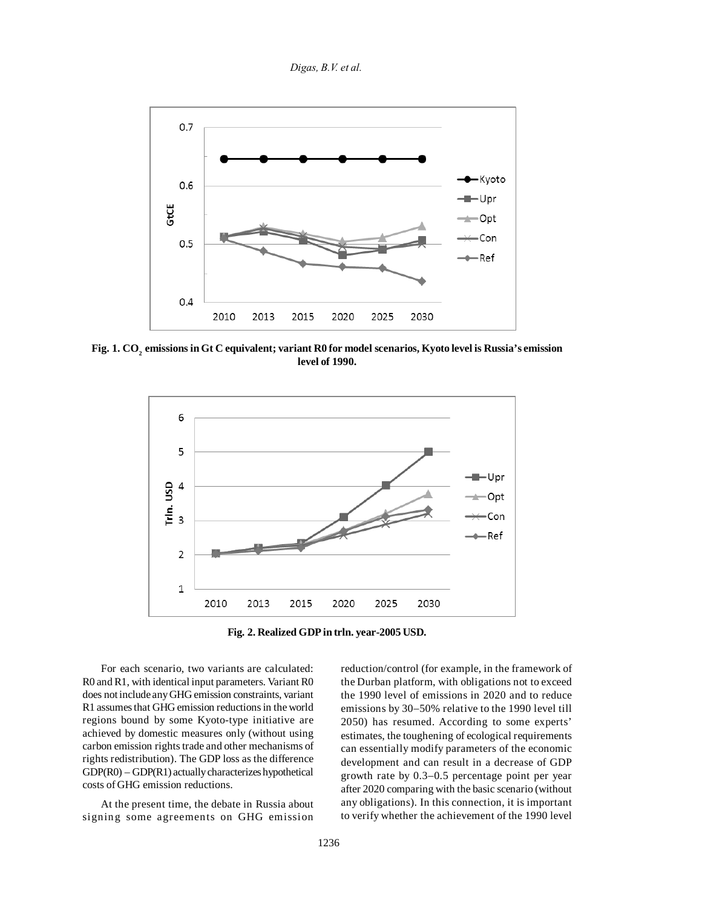*Digas, B.V. et al.*



**Fig. 1. CO2 emissions in Gt C equivalent; variant R0 for model scenarios, Kyoto level is Russia's emission level of 1990.**



**Fig. 2. Realized GDP in trln. year-2005 USD.**

For each scenario, two variants are calculated: R0 and R1, with identical input parameters. Variant R0 does not include any GHG emission constraints, variant R1 assumes that GHG emission reductions in the world regions bound by some Kyoto-type initiative are achieved by domestic measures only (without using carbon emission rights trade and other mechanisms of rights redistribution). The GDP loss as the difference GDP(R0) – GDP(R1) actually characterizes hypothetical costs of GHG emission reductions.

At the present time, the debate in Russia about signing some agreements on GHG emission

reduction/control (for example, in the framework of the Durban platform, with obligations not to exceed the 1990 level of emissions in 2020 and to reduce emissions by 30−50% relative to the 1990 level till 2050) has resumed. According to some experts' estimates, the toughening of ecological requirements can essentially modify parameters of the economic development and can result in a decrease of GDP growth rate by 0.3−0.5 percentage point per year after 2020 comparing with the basic scenario (without any obligations). In this connection, it is important to verify whether the achievement of the 1990 level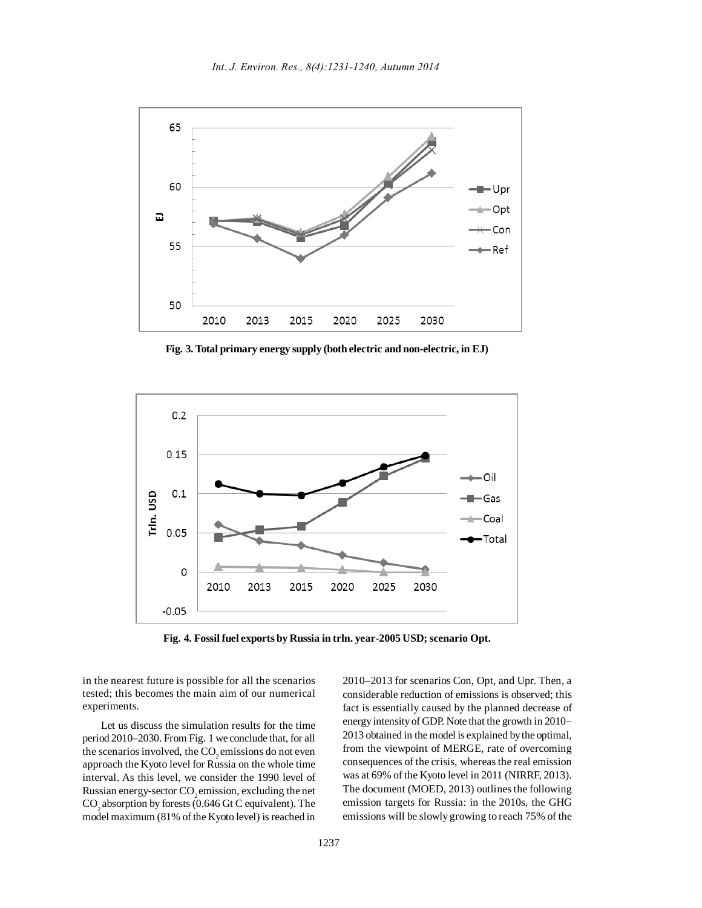

**Fig. 3. Total primary energy supply (both electric and non-electric, in EJ)**



**Fig. 4. Fossil fuel exports by Russia in trln. year-2005 USD; scenario Opt.**

in the nearest future is possible for all the scenarios tested; this becomes the main aim of our numerical experiments.

Let us discuss the simulation results for the time period 2010–2030. From Fig. 1 we conclude that, for all the scenarios involved, the CO<sub>2</sub> emissions do not even approach the Kyoto level for Russia on the whole time interval. As this level, we consider the 1990 level of Russian energy-sector CO<sub>2</sub> emission, excluding the net CO<sub>2</sub> absorption by forests (0.646 Gt C equivalent). The model maximum (81% of the Kyoto level) is reached in

2010−2013 for scenarios Con, Opt, and Upr. Then, a considerable reduction of emissions is observed; this fact is essentially caused by the planned decrease of energy intensity of GDP. Note that the growth in 2010− 2013 obtained in the model is explained by the optimal, from the viewpoint of MERGE, rate of overcoming consequences of the crisis, whereas the real emission was at 69% of the Kyoto level in 2011 (NIRRF, 2013). The document (MOED, 2013) outlines the following emission targets for Russia: in the 2010s, the GHG emissions will be slowly growing to reach 75% of the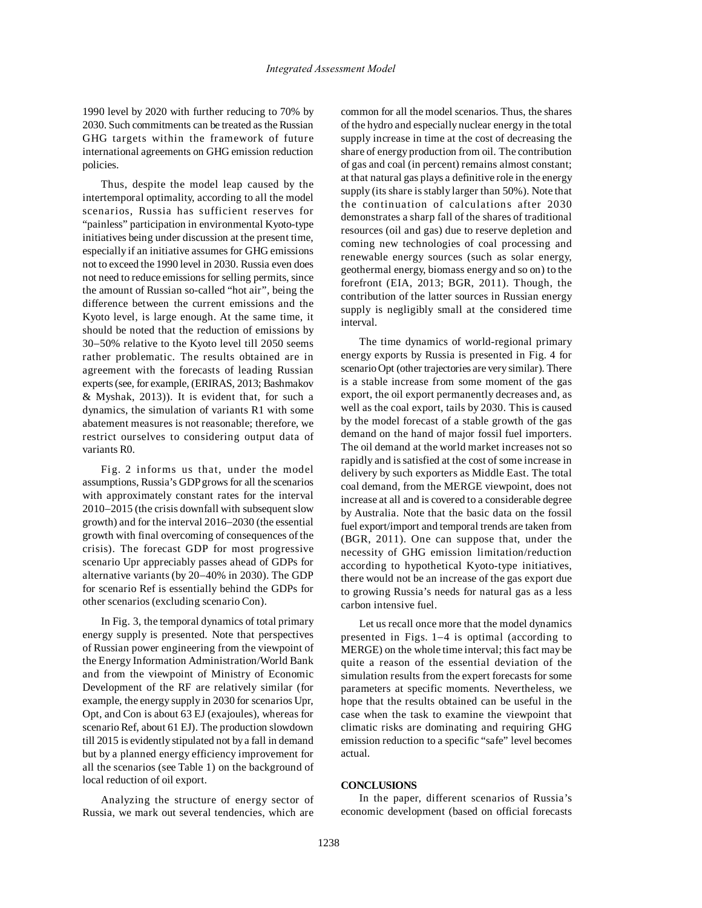1990 level by 2020 with further reducing to 70% by 2030. Such commitments can be treated as the Russian GHG targets within the framework of future international agreements on GHG emission reduction policies.

Thus, despite the model leap caused by the intertemporal optimality, according to all the model scenarios, Russia has sufficient reserves for "painless" participation in environmental Kyoto-type initiatives being under discussion at the present time, especially if an initiative assumes for GHG emissions not to exceed the 1990 level in 2030. Russia even does not need to reduce emissions for selling permits, since the amount of Russian so-called "hot air", being the difference between the current emissions and the Kyoto level, is large enough. At the same time, it should be noted that the reduction of emissions by 30−50% relative to the Kyoto level till 2050 seems rather problematic. The results obtained are in agreement with the forecasts of leading Russian experts (see, for example, (ERIRAS, 2013; Bashmakov & Myshak, 2013)). It is evident that, for such a dynamics, the simulation of variants R1 with some abatement measures is not reasonable; therefore, we restrict ourselves to considering output data of variants R0.

Fig. 2 informs us that, under the model assumptions, Russia's GDP grows for all the scenarios with approximately constant rates for the interval 2010−2015 (the crisis downfall with subsequent slow growth) and for the interval 2016−2030 (the essential growth with final overcoming of consequences of the crisis). The forecast GDP for most progressive scenario Upr appreciably passes ahead of GDPs for alternative variants (by 20−40% in 2030). The GDP for scenario Ref is essentially behind the GDPs for other scenarios (excluding scenario Con).

In Fig. 3, the temporal dynamics of total primary energy supply is presented. Note that perspectives of Russian power engineering from the viewpoint of the Energy Information Administration/World Bank and from the viewpoint of Ministry of Economic Development of the RF are relatively similar (for example, the energy supply in 2030 for scenarios Upr, Opt, and Con is about 63 EJ (exajoules), whereas for scenario Ref, about 61 EJ). The production slowdown till 2015 is evidently stipulated not by a fall in demand but by a planned energy efficiency improvement for all the scenarios (see Table 1) on the background of local reduction of oil export.

Analyzing the structure of energy sector of Russia, we mark out several tendencies, which are

common for all the model scenarios. Thus, the shares of the hydro and especially nuclear energy in the total supply increase in time at the cost of decreasing the share of energy production from oil. The contribution of gas and coal (in percent) remains almost constant; at that natural gas plays a definitive role in the energy supply (its share is stably larger than 50%). Note that the continuation of calculations after 2030 demonstrates a sharp fall of the shares of traditional resources (oil and gas) due to reserve depletion and coming new technologies of coal processing and renewable energy sources (such as solar energy, geothermal energy, biomass energy and so on) to the forefront (EIA, 2013; BGR, 2011). Though, the contribution of the latter sources in Russian energy supply is negligibly small at the considered time interval.

The time dynamics of world-regional primary energy exports by Russia is presented in Fig. 4 for scenario Opt (other trajectories are very similar). There is a stable increase from some moment of the gas export, the oil export permanently decreases and, as well as the coal export, tails by 2030. This is caused by the model forecast of a stable growth of the gas demand on the hand of major fossil fuel importers. The oil demand at the world market increases not so rapidly and is satisfied at the cost of some increase in delivery by such exporters as Middle East. The total coal demand, from the MERGE viewpoint, does not increase at all and is covered to a considerable degree by Australia. Note that the basic data on the fossil fuel export/import and temporal trends are taken from (BGR, 2011). One can suppose that, under the necessity of GHG emission limitation/reduction according to hypothetical Kyoto-type initiatives, there would not be an increase of the gas export due to growing Russia's needs for natural gas as a less carbon intensive fuel.

Let us recall once more that the model dynamics presented in Figs. 1−4 is optimal (according to MERGE) on the whole time interval; this fact may be quite a reason of the essential deviation of the simulation results from the expert forecasts for some parameters at specific moments. Nevertheless, we hope that the results obtained can be useful in the case when the task to examine the viewpoint that climatic risks are dominating and requiring GHG emission reduction to a specific "safe" level becomes actual.

## **CONCLUSIONS**

In the paper, different scenarios of Russia's economic development (based on official forecasts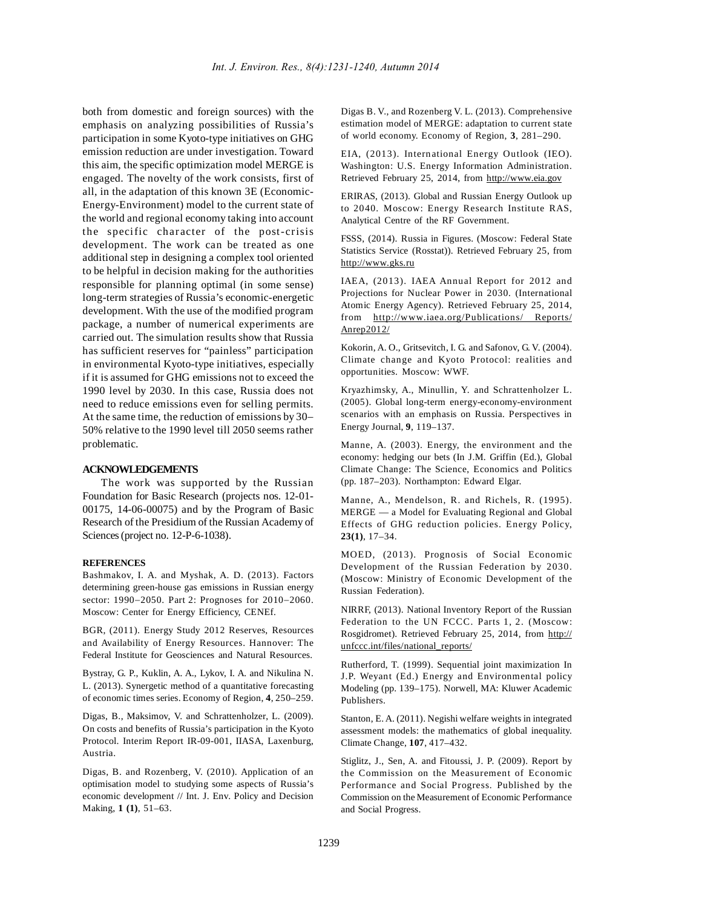both from domestic and foreign sources) with the emphasis on analyzing possibilities of Russia's participation in some Kyoto-type initiatives on GHG emission reduction are under investigation. Toward this aim, the specific optimization model MERGE is engaged. The novelty of the work consists, first of all, in the adaptation of this known 3E (Economic-Energy-Environment) model to the current state of the world and regional economy taking into account the specific character of the post-crisis development. The work can be treated as one additional step in designing a complex tool oriented to be helpful in decision making for the authorities responsible for planning optimal (in some sense) long-term strategies of Russia's economic-energetic development. With the use of the modified program package, a number of numerical experiments are carried out. The simulation results show that Russia has sufficient reserves for "painless" participation in environmental Kyoto-type initiatives, especially if it is assumed for GHG emissions not to exceed the 1990 level by 2030. In this case, Russia does not need to reduce emissions even for selling permits. At the same time, the reduction of emissions by 30− 50% relative to the 1990 level till 2050 seems rather problematic.

### **ACKNOWLEDGEMENTS**

The work was supported by the Russian Foundation for Basic Research (projects nos. 12-01- 00175, 14-06-00075) and by the Program of Basic Research of the Presidium of the Russian Academy of Sciences (project no. 12-P-6-1038).

#### **REFERENCES**

Bashmakov, I. A. and Myshak, A. D. (2013). Factors determining green-house gas emissions in Russian energy sector: 1990−2050. Part 2: Prognoses for 2010−2060. Moscow: Center for Energy Efficiency, CENEf.

BGR, (2011). Energy Study 2012 Reserves, Resources and Availability of Energy Resources. Hannover: The Federal Institute for Geosciences and Natural Resources.

Bystray, G. P., Kuklin, A. A., Lykov, I. A. and Nikulina N. L. (2013). Synergetic method of a quantitative forecasting of economic times series. Economy of Region, **4**, 250–259.

Digas, B., Maksimov, V. and Schrattenholzer, L. (2009). On costs and benefits of Russia's participation in the Kyoto Protocol. Interim Report IR-09-001, IIASA, Laxenburg, Austria.

Digas, B. and Rozenberg, V. (2010). Application of an optimisation model to studying some aspects of Russia's economic development // Int. J. Env. Policy and Decision Making, **1 (1)**, 51–63.

Digas B. V., and Rozenberg V. L. (2013). Comprehensive estimation model of MERGE: adaptation to current state of world economy. Economy of Region, **3**, 281–290.

EIA, (2013). International Energy Outlook (IEO). Washington: U.S. Energy Information Administration. Retrieved February 25, 2014, from http://www.eia.gov

ERIRAS, (2013). Global and Russian Energy Outlook up to 2040. Moscow: Energy Research Institute RAS, Analytical Centre of the RF Government.

FSSS, (2014). Russia in Figures. (Moscow: Federal State Statistics Service (Rosstat)). Retrieved February 25, from http://www.gks.ru

IAEA, (2013). IAEA Annual Report for 2012 and Projections for Nuclear Power in 2030. (International Atomic Energy Agency). Retrieved February 25, 2014, from http://www.iaea.org/Publications/ Reports/ Anrep2012/

Kokorin, A. O., Gritsevitch, I. G. and Safonov, G. V. (2004). Climate change and Kyoto Protocol: realities and opportunities. Moscow: WWF.

Kryazhimsky, A., Minullin, Y. and Schrattenholzer L. (2005). Global long-term energy-economy-environment scenarios with an emphasis on Russia. Perspectives in Energy Journal, **9**, 119–137.

Manne, A. (2003). Energy, the environment and the economy: hedging our bets (In J.M. Griffin (Ed.), Global Climate Change: The Science, Economics and Politics (pp. 187–203). Northampton: Edward Elgar.

Manne, A., Mendelson, R. and Richels, R. (1995). MERGE — a Model for Evaluating Regional and Global Effects of GHG reduction policies. Energy Policy, **23(1)**, 17–34.

MOED, (2013). Prognosis of Social Economic Development of the Russian Federation by 2030. (Moscow: Ministry of Economic Development of the Russian Federation).

NIRRF, (2013). National Inventory Report of the Russian Federation to the UN FCCC. Parts 1, 2. (Moscow: Rosgidromet). Retrieved February 25, 2014, from http:// unfccc.int/files/national\_reports/

Rutherford, T. (1999). Sequential joint maximization In J.P. Weyant (Ed.) Energy and Environmental policy Modeling (pp. 139–175). Norwell, MA: Kluwer Academic Publishers.

Stanton, E. A. (2011). Negishi welfare weights in integrated assessment models: the mathematics of global inequality. Climate Change, **107**, 417–432.

Stiglitz, J., Sen, A. and Fitoussi, J. P. (2009). Report by the Commission on the Measurement of Economic Performance and Social Progress. Published by the Commission on the Measurement of Economic Performance and Social Progress.